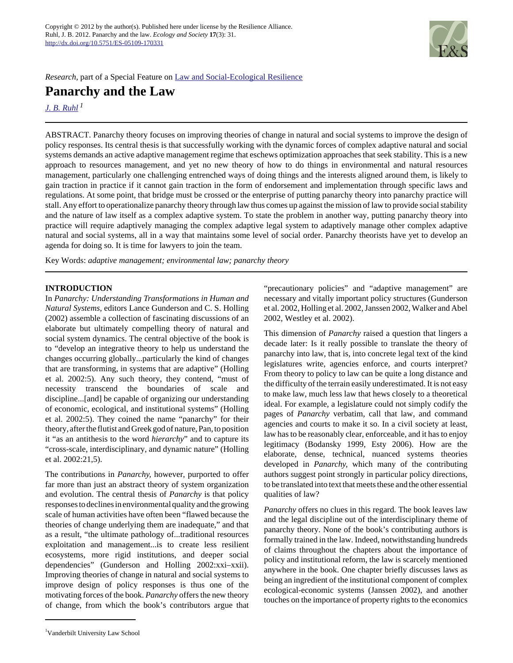

*Research*, part of a Special Feature on [Law and Social-Ecological Resilience](http://www.ecologyandsociety.org/viewissue.php?sf=78)

**Panarchy and the Law**

*[J. B. Ruhl](mailto:jb.ruhl@vanderbilt.edu)<sup>1</sup>*

ABSTRACT. Panarchy theory focuses on improving theories of change in natural and social systems to improve the design of policy responses. Its central thesis is that successfully working with the dynamic forces of complex adaptive natural and social systems demands an active adaptive management regime that eschews optimization approaches that seek stability. This is a new approach to resources management, and yet no new theory of how to do things in environmental and natural resources management, particularly one challenging entrenched ways of doing things and the interests aligned around them, is likely to gain traction in practice if it cannot gain traction in the form of endorsement and implementation through specific laws and regulations. At some point, that bridge must be crossed or the enterprise of putting panarchy theory into panarchy practice will stall. Any effort to operationalize panarchy theory through law thus comes up against the mission of law to provide social stability and the nature of law itself as a complex adaptive system. To state the problem in another way, putting panarchy theory into practice will require adaptively managing the complex adaptive legal system to adaptively manage other complex adaptive natural and social systems, all in a way that maintains some level of social order. Panarchy theorists have yet to develop an agenda for doing so. It is time for lawyers to join the team.

Key Words: *adaptive management; environmental law; panarchy theory*

# **INTRODUCTION**

In *Panarchy: Understanding Transformations in Human and Natural Systems,* editors Lance Gunderson and C. S. Holling (2002) assemble a collection of fascinating discussions of an elaborate but ultimately compelling theory of natural and social system dynamics. The central objective of the book is to "develop an integrative theory to help us understand the changes occurring globally...particularly the kind of changes that are transforming, in systems that are adaptive" (Holling et al. 2002:5). Any such theory, they contend, "must of necessity transcend the boundaries of scale and discipline...[and] be capable of organizing our understanding of economic, ecological, and institutional systems" (Holling et al. 2002:5). They coined the name "panarchy" for their theory, after the flutist and Greek god of nature, Pan, to position it "as an antithesis to the word *hierarchy*" and to capture its "cross-scale, interdisciplinary, and dynamic nature" (Holling et al. 2002:21,5).

The contributions in *Panarchy,* however, purported to offer far more than just an abstract theory of system organization and evolution. The central thesis of *Panarchy* is that policy responses to declines in environmental quality and the growing scale of human activities have often been "flawed because the theories of change underlying them are inadequate," and that as a result, "the ultimate pathology of...traditional resources exploitation and management...is to create less resilient ecosystems, more rigid institutions, and deeper social dependencies" (Gunderson and Holling 2002:xxi–xxii). Improving theories of change in natural and social systems to improve design of policy responses is thus one of the motivating forces of the book. *Panarchy* offers the new theory of change, from which the book's contributors argue that "precautionary policies" and "adaptive management" are necessary and vitally important policy structures (Gunderson et al. 2002, Holling et al. 2002, Janssen 2002, Walker and Abel 2002, Westley et al. 2002).

This dimension of *Panarchy* raised a question that lingers a decade later: Is it really possible to translate the theory of panarchy into law, that is, into concrete legal text of the kind legislatures write, agencies enforce, and courts interpret? From theory to policy to law can be quite a long distance and the difficulty of the terrain easily underestimated. It is not easy to make law, much less law that hews closely to a theoretical ideal. For example, a legislature could not simply codify the pages of *Panarchy* verbatim, call that law, and command agencies and courts to make it so. In a civil society at least, law has to be reasonably clear, enforceable, and it has to enjoy legitimacy (Bodansky 1999, Esty 2006). How are the elaborate, dense, technical, nuanced systems theories developed in *Panarchy,* which many of the contributing authors suggest point strongly in particular policy directions, to be translated into text that meets these and the other essential qualities of law?

*Panarchy* offers no clues in this regard. The book leaves law and the legal discipline out of the interdisciplinary theme of panarchy theory. None of the book's contributing authors is formally trained in the law. Indeed, notwithstanding hundreds of claims throughout the chapters about the importance of policy and institutional reform, the law is scarcely mentioned anywhere in the book. One chapter briefly discusses laws as being an ingredient of the institutional component of complex ecological-economic systems (Janssen 2002), and another touches on the importance of property rights to the economics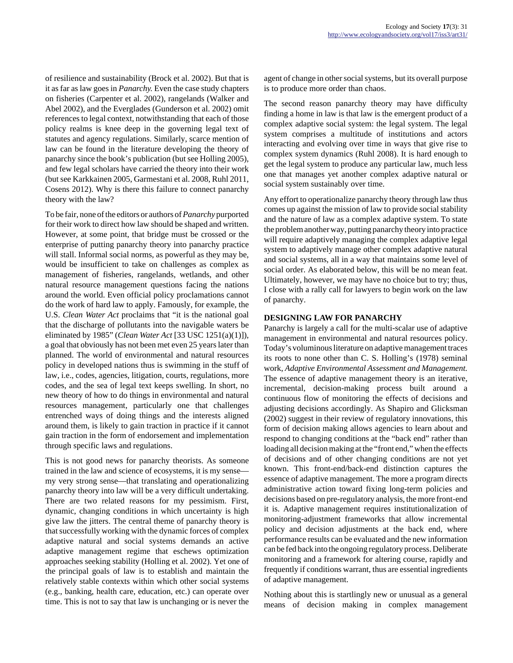of resilience and sustainability (Brock et al. 2002). But that is it as far as law goes in *Panarchy.* Even the case study chapters on fisheries (Carpenter et al. 2002), rangelands (Walker and Abel 2002), and the Everglades (Gunderson et al. 2002) omit references to legal context, notwithstanding that each of those policy realms is knee deep in the governing legal text of statutes and agency regulations. Similarly, scarce mention of law can be found in the literature developing the theory of panarchy since the book's publication (but see Holling 2005), and few legal scholars have carried the theory into their work (but see Karkkainen 2005, Garmestani et al. 2008, Ruhl 2011, Cosens 2012). Why is there this failure to connect panarchy theory with the law?

To be fair, none of the editors or authors of *Panarchy* purported for their work to direct how law should be shaped and written. However, at some point, that bridge must be crossed or the enterprise of putting panarchy theory into panarchy practice will stall. Informal social norms, as powerful as they may be, would be insufficient to take on challenges as complex as management of fisheries, rangelands, wetlands, and other natural resource management questions facing the nations around the world. Even official policy proclamations cannot do the work of hard law to apply. Famously, for example, the U.S. *Clean Water Act* proclaims that "it is the national goal that the discharge of pollutants into the navigable waters be eliminated by 1985" (*Clean Water Act* [33 USC 1251(a)(1)]), a goal that obviously has not been met even 25 years later than planned. The world of environmental and natural resources policy in developed nations thus is swimming in the stuff of law, i.e., codes, agencies, litigation, courts, regulations, more codes, and the sea of legal text keeps swelling. In short, no new theory of how to do things in environmental and natural resources management, particularly one that challenges entrenched ways of doing things and the interests aligned around them, is likely to gain traction in practice if it cannot gain traction in the form of endorsement and implementation through specific laws and regulations.

This is not good news for panarchy theorists. As someone trained in the law and science of ecosystems, it is my sense my very strong sense—that translating and operationalizing panarchy theory into law will be a very difficult undertaking. There are two related reasons for my pessimism. First, dynamic, changing conditions in which uncertainty is high give law the jitters. The central theme of panarchy theory is that successfully working with the dynamic forces of complex adaptive natural and social systems demands an active adaptive management regime that eschews optimization approaches seeking stability (Holling et al. 2002). Yet one of the principal goals of law is to establish and maintain the relatively stable contexts within which other social systems (e.g., banking, health care, education, etc.) can operate over time. This is not to say that law is unchanging or is never the

agent of change in other social systems, but its overall purpose is to produce more order than chaos.

The second reason panarchy theory may have difficulty finding a home in law is that law is the emergent product of a complex adaptive social system: the legal system. The legal system comprises a multitude of institutions and actors interacting and evolving over time in ways that give rise to complex system dynamics (Ruhl 2008). It is hard enough to get the legal system to produce any particular law, much less one that manages yet another complex adaptive natural or social system sustainably over time.

Any effort to operationalize panarchy theory through law thus comes up against the mission of law to provide social stability and the nature of law as a complex adaptive system. To state the problem another way, putting panarchy theory into practice will require adaptively managing the complex adaptive legal system to adaptively manage other complex adaptive natural and social systems, all in a way that maintains some level of social order. As elaborated below, this will be no mean feat. Ultimately, however, we may have no choice but to try; thus, I close with a rally call for lawyers to begin work on the law of panarchy.

### **DESIGNING LAW FOR PANARCHY**

Panarchy is largely a call for the multi-scalar use of adaptive management in environmental and natural resources policy. Today's voluminous literature on adaptive management traces its roots to none other than C. S. Holling's (1978) seminal work, *Adaptive Environmental Assessment and Management.* The essence of adaptive management theory is an iterative, incremental, decision-making process built around a continuous flow of monitoring the effects of decisions and adjusting decisions accordingly. As Shapiro and Glicksman (2002) suggest in their review of regulatory innovations, this form of decision making allows agencies to learn about and respond to changing conditions at the "back end" rather than loading all decision making at the "front end," when the effects of decisions and of other changing conditions are not yet known. This front-end/back-end distinction captures the essence of adaptive management. The more a program directs administrative action toward fixing long-term policies and decisions based on pre-regulatory analysis, the more front-end it is. Adaptive management requires institutionalization of monitoring-adjustment frameworks that allow incremental policy and decision adjustments at the back end, where performance results can be evaluated and the new information can be fed back into the ongoing regulatory process. Deliberate monitoring and a framework for altering course, rapidly and frequently if conditions warrant, thus are essential ingredients of adaptive management.

Nothing about this is startlingly new or unusual as a general means of decision making in complex management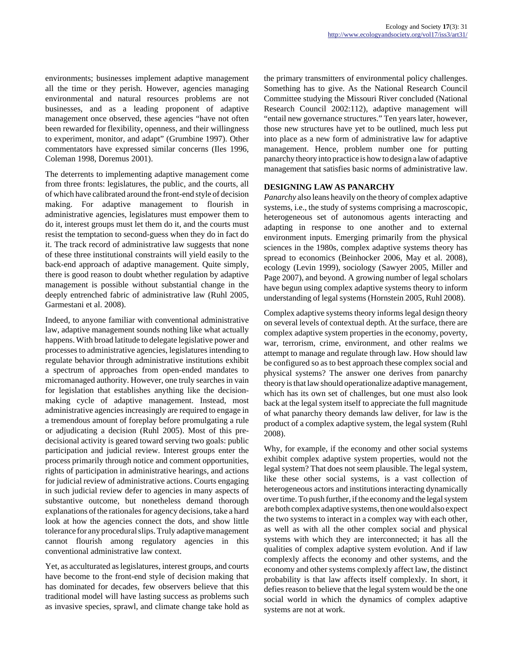environments; businesses implement adaptive management all the time or they perish. However, agencies managing environmental and natural resources problems are not businesses, and as a leading proponent of adaptive management once observed, these agencies "have not often been rewarded for flexibility, openness, and their willingness to experiment, monitor, and adapt" (Grumbine 1997). Other commentators have expressed similar concerns (Iles 1996, Coleman 1998, Doremus 2001).

The deterrents to implementing adaptive management come from three fronts: legislatures, the public, and the courts, all of which have calibrated around the front-end style of decision making. For adaptive management to flourish in administrative agencies, legislatures must empower them to do it, interest groups must let them do it, and the courts must resist the temptation to second-guess when they do in fact do it. The track record of administrative law suggests that none of these three institutional constraints will yield easily to the back-end approach of adaptive management. Quite simply, there is good reason to doubt whether regulation by adaptive management is possible without substantial change in the deeply entrenched fabric of administrative law (Ruhl 2005, Garmestani et al. 2008).

Indeed, to anyone familiar with conventional administrative law, adaptive management sounds nothing like what actually happens. With broad latitude to delegate legislative power and processes to administrative agencies, legislatures intending to regulate behavior through administrative institutions exhibit a spectrum of approaches from open-ended mandates to micromanaged authority. However, one truly searches in vain for legislation that establishes anything like the decisionmaking cycle of adaptive management. Instead, most administrative agencies increasingly are required to engage in a tremendous amount of foreplay before promulgating a rule or adjudicating a decision (Ruhl 2005). Most of this predecisional activity is geared toward serving two goals: public participation and judicial review. Interest groups enter the process primarily through notice and comment opportunities, rights of participation in administrative hearings, and actions for judicial review of administrative actions. Courts engaging in such judicial review defer to agencies in many aspects of substantive outcome, but nonetheless demand thorough explanations of the rationales for agency decisions, take a hard look at how the agencies connect the dots, and show little tolerance for any procedural slips. Truly adaptive management cannot flourish among regulatory agencies in this conventional administrative law context.

Yet, as acculturated as legislatures, interest groups, and courts have become to the front-end style of decision making that has dominated for decades, few observers believe that this traditional model will have lasting success as problems such as invasive species, sprawl, and climate change take hold as the primary transmitters of environmental policy challenges. Something has to give. As the National Research Council Committee studying the Missouri River concluded (National Research Council 2002:112), adaptive management will "entail new governance structures." Ten years later, however, those new structures have yet to be outlined, much less put into place as a new form of administrative law for adaptive management. Hence, problem number one for putting panarchy theory into practice is how to design a law of adaptive management that satisfies basic norms of administrative law.

# **DESIGNING LAW AS PANARCHY**

*Panarchy* also leans heavily on the theory of complex adaptive systems, i.e., the study of systems comprising a macroscopic, heterogeneous set of autonomous agents interacting and adapting in response to one another and to external environment inputs. Emerging primarily from the physical sciences in the 1980s, complex adaptive systems theory has spread to economics (Beinhocker 2006, May et al. 2008), ecology (Levin 1999), sociology (Sawyer 2005, Miller and Page 2007), and beyond. A growing number of legal scholars have begun using complex adaptive systems theory to inform understanding of legal systems (Hornstein 2005, Ruhl 2008).

Complex adaptive systems theory informs legal design theory on several levels of contextual depth. At the surface, there are complex adaptive system properties in the economy, poverty, war, terrorism, crime, environment, and other realms we attempt to manage and regulate through law. How should law be configured so as to best approach these complex social and physical systems? The answer one derives from panarchy theory is that law should operationalize adaptive management, which has its own set of challenges, but one must also look back at the legal system itself to appreciate the full magnitude of what panarchy theory demands law deliver, for law is the product of a complex adaptive system, the legal system (Ruhl 2008).

Why, for example, if the economy and other social systems exhibit complex adaptive system properties, would not the legal system? That does not seem plausible. The legal system, like these other social systems, is a vast collection of heterogeneous actors and institutions interacting dynamically over time. To push further, if the economy and the legal system are both complex adaptive systems, then one would also expect the two systems to interact in a complex way with each other, as well as with all the other complex social and physical systems with which they are interconnected; it has all the qualities of complex adaptive system evolution. And if law complexly affects the economy and other systems, and the economy and other systems complexly affect law, the distinct probability is that law affects itself complexly. In short, it defies reason to believe that the legal system would be the one social world in which the dynamics of complex adaptive systems are not at work.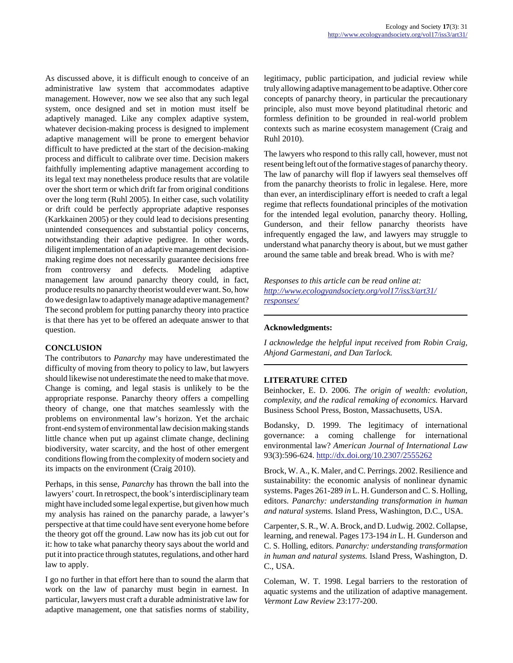As discussed above, it is difficult enough to conceive of an administrative law system that accommodates adaptive management. However, now we see also that any such legal system, once designed and set in motion must itself be adaptively managed. Like any complex adaptive system, whatever decision-making process is designed to implement adaptive management will be prone to emergent behavior difficult to have predicted at the start of the decision-making process and difficult to calibrate over time. Decision makers faithfully implementing adaptive management according to its legal text may nonetheless produce results that are volatile over the short term or which drift far from original conditions over the long term (Ruhl 2005). In either case, such volatility or drift could be perfectly appropriate adaptive responses (Karkkainen 2005) or they could lead to decisions presenting unintended consequences and substantial policy concerns, notwithstanding their adaptive pedigree. In other words, diligent implementation of an adaptive management decisionmaking regime does not necessarily guarantee decisions free from controversy and defects. Modeling adaptive management law around panarchy theory could, in fact, produce results no panarchy theorist would ever want. So, how do we design law to adaptively manage adaptive management? The second problem for putting panarchy theory into practice is that there has yet to be offered an adequate answer to that question.

### **CONCLUSION**

The contributors to *Panarchy* may have underestimated the difficulty of moving from theory to policy to law, but lawyers should likewise not underestimate the need to make that move. Change is coming, and legal stasis is unlikely to be the appropriate response. Panarchy theory offers a compelling theory of change, one that matches seamlessly with the problems on environmental law's horizon. Yet the archaic front-end system of environmental law decision making stands little chance when put up against climate change, declining biodiversity, water scarcity, and the host of other emergent conditions flowing from the complexity of modern society and its impacts on the environment (Craig 2010).

Perhaps, in this sense, *Panarchy* has thrown the ball into the lawyers' court. In retrospect, the book's interdisciplinary team might have included some legal expertise, but given how much my analysis has rained on the panarchy parade, a lawyer's perspective at that time could have sent everyone home before the theory got off the ground. Law now has its job cut out for it: how to take what panarchy theory says about the world and put it into practice through statutes, regulations, and other hard law to apply.

I go no further in that effort here than to sound the alarm that work on the law of panarchy must begin in earnest. In particular, lawyers must craft a durable administrative law for adaptive management, one that satisfies norms of stability, legitimacy, public participation, and judicial review while truly allowing adaptive management to be adaptive. Other core concepts of panarchy theory, in particular the precautionary principle, also must move beyond platitudinal rhetoric and formless definition to be grounded in real-world problem contexts such as marine ecosystem management (Craig and Ruhl 2010).

The lawyers who respond to this rally call, however, must not resent being left out of the formative stages of panarchy theory. The law of panarchy will flop if lawyers seal themselves off from the panarchy theorists to frolic in legalese. Here, more than ever, an interdisciplinary effort is needed to craft a legal regime that reflects foundational principles of the motivation for the intended legal evolution, panarchy theory. Holling, Gunderson, and their fellow panarchy theorists have infrequently engaged the law, and lawyers may struggle to understand what panarchy theory is about, but we must gather around the same table and break bread. Who is with me?

*Responses to this article can be read online at: [http://www](http://www.ecologyandsociety.org/vol17/iss3/art31/responses/).ecologyandsociety.org/vol17/iss3/art31/ responses/*

# **Acknowledgments:**

*I acknowledge the helpful input received from Robin Craig, Ahjond Garmestani, and Dan Tarlock.*

#### **LITERATURE CITED**

Beinhocker, E. D. 2006. *The origin of wealth: evolution, complexity, and the radical remaking of economics.* Harvard Business School Press, Boston, Massachusetts, USA.

Bodansky, D. 1999. The legitimacy of international governance: a coming challenge for international environmental law? *American Journal of International Law* 93(3):596-624. <http://dx.doi.org/10.2307/2555262>

Brock, W. A., K. Maler, and C. Perrings. 2002. Resilience and sustainability: the economic analysis of nonlinear dynamic systems. Pages 261-289 *in* L. H. Gunderson and C. S. Holling, editors. *Panarchy: understanding transformation in human and natural systems.* Island Press, Washington, D.C., USA.

Carpenter, S. R., W. A. Brock, and D. Ludwig. 2002. Collapse, learning, and renewal. Pages 173-194 *in* L. H. Gunderson and C. S. Holling, editors. *Panarchy: understanding transformation in human and natural systems.* Island Press, Washington, D. C., USA.

Coleman, W. T. 1998. Legal barriers to the restoration of aquatic systems and the utilization of adaptive management. *Vermont Law Review* 23:177-200.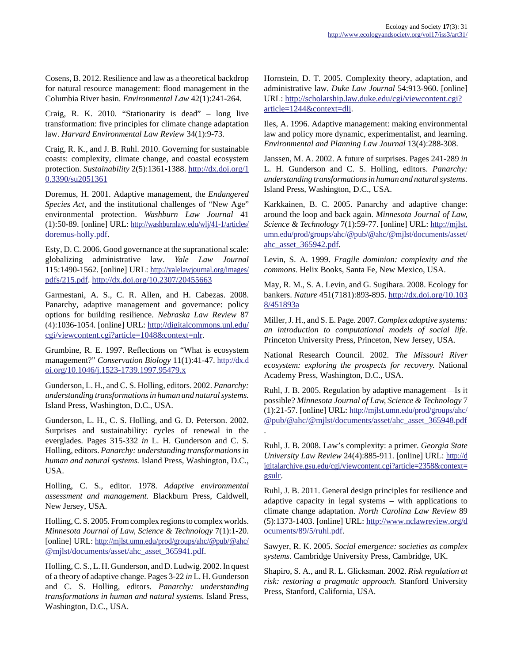Cosens, B. 2012. Resilience and law as a theoretical backdrop for natural resource management: flood management in the Columbia River basin. *Environmental Law* 42(1):241-264.

Craig, R. K. 2010. "Stationarity is dead" – long live transformation: five principles for climate change adaptation law. *Harvard Environmental Law Review* 34(1):9-73.

Craig, R. K., and J. B. Ruhl. 2010. Governing for sustainable coasts: complexity, climate change, and coastal ecosystem protection. *Sustainability* 2(5):1361-1388. [http://dx.doi.org/1](http://dx.doi.org/10.3390/su2051361) [0.3390/su2051361](http://dx.doi.org/10.3390/su2051361)

Doremus, H. 2001. Adaptive management, the *Endangered Species Act,* and the institutional challenges of "New Age" environmental protection. *Washburn Law Journal* 41 (1):50-89. [online] URL: [http://washburnlaw.edu/wlj/41-1/articles/](http://washburnlaw.edu/wlj/41-1/articles/doremus-holly.pdf) [doremus-holly.pdf](http://washburnlaw.edu/wlj/41-1/articles/doremus-holly.pdf).

Esty, D. C. 2006. Good governance at the supranational scale: globalizing administrative law. *Yale Law Journal* 115:1490-1562. [online] URL: [http://yalelawjournal.org/images/](http://yalelawjournal.org/images/pdfs/215.pdf) [pdfs/215.pdf.](http://yalelawjournal.org/images/pdfs/215.pdf) <http://dx.doi.org/10.2307/20455663>

Garmestani, A. S., C. R. Allen, and H. Cabezas. 2008. Panarchy, adaptive management and governance: policy options for building resilience. *Nebraska Law Review* 87 (4):1036-1054. [online] URL: [http://digitalcommons.unl.edu/](http://digitalcommons.unl.edu/cgi/viewcontent.cgi?article=1048&context=nlr) [cgi/viewcontent.cgi?article=1048&context=nlr.](http://digitalcommons.unl.edu/cgi/viewcontent.cgi?article=1048&context=nlr)

Grumbine, R. E. 1997. Reflections on "What is ecosystem management?" *Conservation Biology* 11(1):41-47. [http://dx.d](http://dx.doi.org/10.1046/j.1523-1739.1997.95479.x ) [oi.org/10.1046/j.1523-1739.1997.95479.x](http://dx.doi.org/10.1046/j.1523-1739.1997.95479.x )

Gunderson, L. H., and C. S. Holling, editors. 2002. *Panarchy: understanding transformations in human and natural systems.* Island Press, Washington, D.C., USA.

Gunderson, L. H., C. S. Holling, and G. D. Peterson. 2002. Surprises and sustainability: cycles of renewal in the everglades. Pages 315-332 *in* L. H. Gunderson and C. S. Holling, editors. *Panarchy: understanding transformations in human and natural systems.* Island Press, Washington, D.C., USA.

Holling, C. S., editor. 1978. *Adaptive environmental assessment and management.* Blackburn Press, Caldwell, New Jersey, USA.

Holling, C. S. 2005. From complex regions to complex worlds. *Minnesota Journal of Law, Science & Technology* 7(1):1-20. [online] URL: [http://mjlst.umn.edu/prod/groups/ahc/@pub/@ahc/](http://mjlst.umn.edu/prod/groups/ahc/@pub/@ahc/@mjlst/documents/asset/ahc_asset_365941.pdf) [@mjlst/documents/asset/ahc\\_asset\\_365941.pdf](http://mjlst.umn.edu/prod/groups/ahc/@pub/@ahc/@mjlst/documents/asset/ahc_asset_365941.pdf).

Holling, C. S., L. H. Gunderson, and D. Ludwig. 2002. In quest of a theory of adaptive change. Pages 3-22 *in* L. H. Gunderson and C. S. Holling, editors. *Panarchy: understanding transformations in human and natural systems.* Island Press, Washington, D.C., USA.

Hornstein, D. T. 2005. Complexity theory, adaptation, and administrative law. *Duke Law Journal* 54:913-960. [online] URL: [http://scholarship.law.duke.edu/cgi/viewcontent.cgi?](http://scholarship.law.duke.edu/cgi/viewcontent.cgi?article=1244&context=dlj) [article=1244&context=dlj](http://scholarship.law.duke.edu/cgi/viewcontent.cgi?article=1244&context=dlj).

Iles, A. 1996. Adaptive management: making environmental law and policy more dynamic, experimentalist, and learning. *Environmental and Planning Law Journal* 13(4):288-308.

Janssen, M. A. 2002. A future of surprises. Pages 241-289 *in* L. H. Gunderson and C. S. Holling, editors. *Panarchy: understanding transformations in human and natural systems.* Island Press, Washington, D.C., USA.

Karkkainen, B. C. 2005. Panarchy and adaptive change: around the loop and back again. *Minnesota Journal of Law, Science & Technology* 7(1):59-77. [online] URL: [http://mjlst.](http://mjlst.umn.edu/prod/groups/ahc/@pub/@ahc/@mjlst/documents/asset/ahc_asset_365942.pdf) umn.edu/prod/groups/ahc/@pub/@ahc/@mjlst/documents/asset/ [ahc\\_asset\\_365942.pdf](http://mjlst.umn.edu/prod/groups/ahc/@pub/@ahc/@mjlst/documents/asset/ahc_asset_365942.pdf).

Levin, S. A. 1999. *Fragile dominion: complexity and the commons.* Helix Books, Santa Fe, New Mexico, USA.

May, R. M., S. A. Levin, and G. Sugihara. 2008. Ecology for bankers. *Nature* 451(7181):893-895. [http://dx.doi.org/10.103](http://dx.doi.org/10.1038/451893a) [8/451893a](http://dx.doi.org/10.1038/451893a)

Miller, J. H., and S. E. Page. 2007. *Complex adaptive systems: an introduction to computational models of social life.* Princeton University Press, Princeton, New Jersey, USA.

National Research Council. 2002. *The Missouri River ecosystem: exploring the prospects for recovery.* National Academy Press, Washington, D.C., USA.

Ruhl, J. B. 2005. Regulation by adaptive management—Is it possible? *Minnesota Journal of Law, Science & Technology* 7 (1):21-57. [online] URL: [http://mjlst.umn.edu/prod/groups/ahc/](http://mjlst.umn.edu/prod/groups/ahc/@pub/@ahc/@mjlst/documents/asset/ahc_asset_365948.pdf) [@pub/@ahc/@mjlst/documents/asset/ahc\\_asset\\_365948.pdf](http://mjlst.umn.edu/prod/groups/ahc/@pub/@ahc/@mjlst/documents/asset/ahc_asset_365948.pdf)

.

Ruhl, J. B. 2008. Law's complexity: a primer. *Georgia State University Law Review* 24(4):885-911. [online] URL: [http://d](http://digitalarchive.gsu.edu/cgi/viewcontent.cgi?article=2358&context=gsulr) igitalarchive.gsu.edu/cgi/viewcontent.cgi?article=2358&context= [gsulr](http://digitalarchive.gsu.edu/cgi/viewcontent.cgi?article=2358&context=gsulr).

Ruhl, J. B. 2011. General design principles for resilience and adaptive capacity in legal systems – with applications to climate change adaptation. *North Carolina Law Review* 89 (5):1373-1403. [online] URL: [http://www.nclawreview.org/d](http://www.nclawreview.org/documents/89/5/ruhl.pdf) [ocuments/89/5/ruhl.pdf.](http://www.nclawreview.org/documents/89/5/ruhl.pdf)

Sawyer, R. K. 2005. *Social emergence: societies as complex systems.* Cambridge University Press, Cambridge, UK.

Shapiro, S. A., and R. L. Glicksman. 2002. *Risk regulation at risk: restoring a pragmatic approach.* Stanford University Press, Stanford, California, USA.